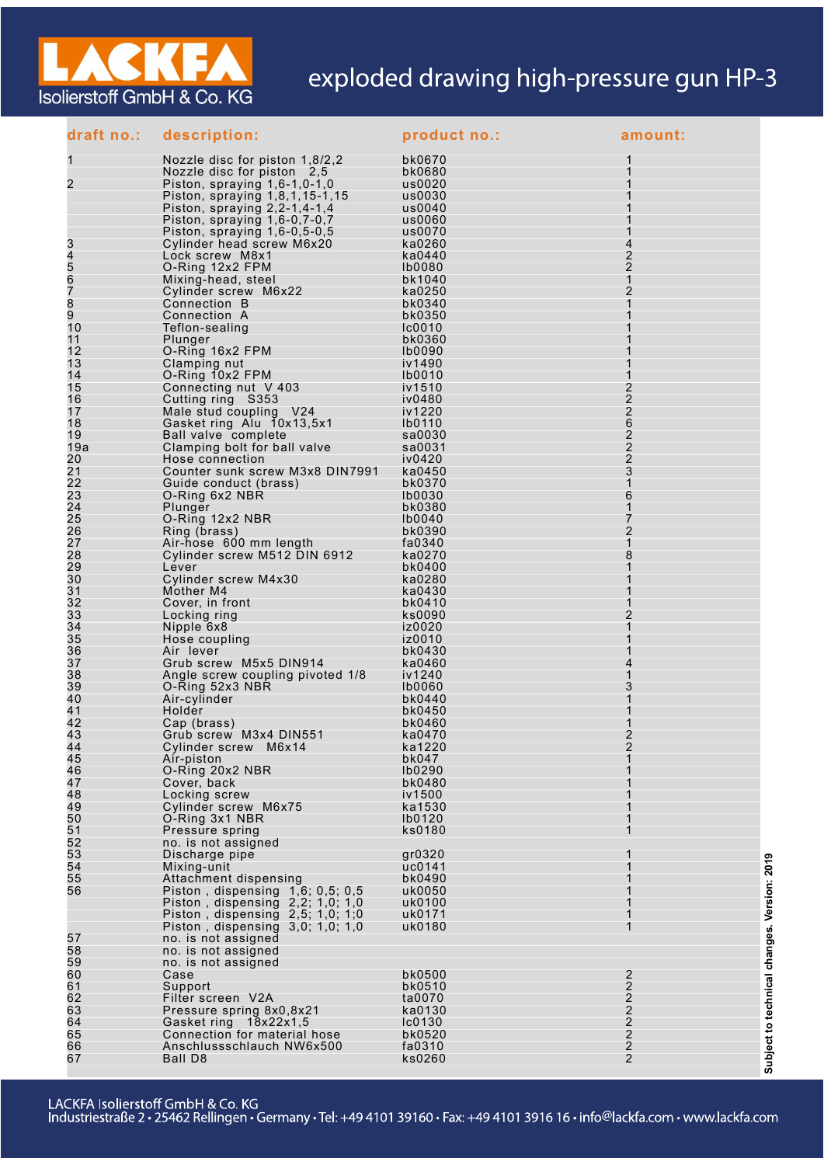

## exploded drawing high-pressure gun HP-3

| draft no.: | description:                                                              | product no.:            | amount:                          |
|------------|---------------------------------------------------------------------------|-------------------------|----------------------------------|
| 1          | Nozzle disc for piston 1,8/2,2                                            | bk0670                  |                                  |
|            | Nozzle disc for piston 2,5                                                | bk0680                  |                                  |
| 2          | Piston, spraying $1,6-1,0-1,0$                                            | us0020                  |                                  |
|            | Piston, spraying 1,8,1,15-1,15<br>Piston, spraying $2, 2-1, 4-1, 4$       | us0030<br>us0040        |                                  |
|            | Piston, spraying 1,6-0,7-0,7                                              | us0060                  |                                  |
|            | Piston, spraying $1,6-0,5-0,5$                                            | us0070                  |                                  |
| 3          | Cylinder head screw M6x20                                                 | ka0260                  | 4                                |
| 4          | Lock screw M8x1                                                           | ka0440                  | 2                                |
| 5<br>6     | O-Ring 12x2 FPM<br>Mixing-head, steel                                     | <b>Ib0080</b><br>bk1040 | 2<br>$\mathbf{1}$                |
| 7          | Cylinder screw M6x22                                                      | ka0250                  | 2                                |
| 8          | Connection B                                                              | bk0340                  | 1                                |
| 9          | Connection A                                                              | bk0350                  |                                  |
| 10<br>11   | Teflon-sealing                                                            | Ic0010<br>bk0360        |                                  |
| 12         | Plunger<br>O-Ring 16x2 FPM                                                | <b>Ib0090</b>           |                                  |
| 13         | Clamping nut                                                              | iv1490                  |                                  |
| 14         | O-Ring 10x2 FPM                                                           | <b>Ib0010</b>           | 1                                |
| 15         | Connecting nut V 403                                                      | iv1510                  | 2                                |
| 16<br>17   | Cutting ring S353<br>Male stud coupling V24                               | iv0480<br>iv1220        | $\overline{2}$<br>$\overline{2}$ |
| 18         | Gasket ring Alu 10x13,5x1                                                 | <b>Ib0110</b>           | 6                                |
| 19         | Ball valve complete                                                       | sa0030                  | 2                                |
| 19a        | Clamping bolt for ball valve                                              | sa0031                  | 2                                |
| 20<br>21   | Hose connection<br>Counter sunk screw M3x8 DIN7991                        | iv0420<br>ka0450        | $\overline{2}$<br>3              |
| 22         | Guide conduct (brass)                                                     | bk0370                  | 1                                |
| 23         | O-Ring 6x2 NBR                                                            | <b>Ib0030</b>           | 6                                |
| 24         | Plunger                                                                   | bk0380                  | 1                                |
| 25         | O-Ring 12x2 NBR                                                           | <b>Ib0040</b>           | 7                                |
| 26<br>27   | Ring (brass)<br>Air-hose 600 mm length                                    | bk0390<br>fa0340        | 2<br>1                           |
| 28         | Cylinder screw M512 DIN 6912                                              | ka0270                  | 8                                |
| 29         | Lever                                                                     | bk0400                  |                                  |
| 30         | Cylinder screw M4x30                                                      | ka0280                  |                                  |
| 31<br>32   | Mother M4                                                                 | ka0430<br>bk0410        |                                  |
| 33         | Cover, in front<br>Locking ring                                           | ks0090                  | 2                                |
| 34         | Nipple 6x8                                                                | iz0020                  | 1                                |
| 35         | Hose coupling                                                             | iz0010                  |                                  |
| 36<br>37   | Air lever<br>Grub screw M5x5 DIN914                                       | bk0430<br>ka0460        | 4                                |
| 38         | Angle screw coupling pivoted 1/8                                          | iv1240                  | 1                                |
| 39         | O-Ring 52x3 NBR                                                           | <b>Ib0060</b>           | 3                                |
| 40         | Air-cylinder                                                              | bk0440                  | 1                                |
| 41<br>42   | Holder                                                                    | bk0450                  | 1                                |
| 43         | Cap (brass)<br>Grub screw M3x4 DIN551                                     | bk0460<br>ka0470        | 2                                |
| 44         | Cylinder screw M6x14                                                      | ka1220                  | 2                                |
| 45         | Air-piston                                                                | bk047                   | 1                                |
| 46         | O-Ring 20x2 NBR                                                           | Ib0290                  |                                  |
| 47<br>48   | Cover, back<br>Locking screw                                              | bk0480<br>iv1500        | 1                                |
| 49         | Cylinder screw M6x75                                                      | ka1530                  |                                  |
| 50         | O-Ring 3x1 NBR                                                            | Ib0120                  |                                  |
| 51         | Pressure spring                                                           | ks0180                  |                                  |
| 52<br>53   | no. is not assigned<br>Discharge pipe                                     | gr0320                  |                                  |
| 54         | Mixing-unit                                                               | uc0141                  | 1                                |
| 55         | Attachment dispensing                                                     | bk0490                  |                                  |
| 56         | Piston, dispensing $1,6; 0,5; 0,5$                                        | uk0050                  |                                  |
|            | Piston, dispensing $2,2$ ; 1,0; 1,0<br>Piston, dispensing $2,5; 1,0; 1,0$ | uk0100<br>uk0171        |                                  |
|            | Piston, dispensing $3,0; 1,0; 1,0$                                        | uk0180                  | 1                                |
| 57         | no. is not assigned                                                       |                         |                                  |
| 58         | no. is not assigned                                                       |                         |                                  |
| 59         | no. is not assigned                                                       | bk0500                  |                                  |
| 60<br>61   | Case<br>Support                                                           | bk0510                  | 2<br>2                           |
| 62         | Filter screen V2A                                                         | ta0070                  | $\overline{c}$                   |
| 63         | Pressure spring 8x0,8x21                                                  | ka0130                  | 2                                |
| 64         | Gasket ring 18x22x1,5                                                     | $l$ c $0130$            | $\overline{2}$<br>$\overline{2}$ |
| 65<br>66   | Connection for material hose<br>Anschlussschlauch NW6x500                 | bk0520<br>fa0310        | $\overline{2}$                   |
| 67         | Ball D8                                                                   | ks0260                  | $\overline{2}$                   |

Subject to technical changes. Version: 2019